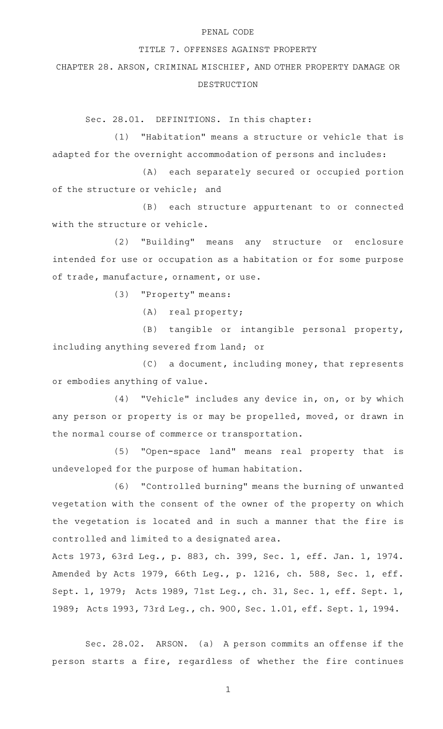## PENAL CODE

## TITLE 7. OFFENSES AGAINST PROPERTY

CHAPTER 28. ARSON, CRIMINAL MISCHIEF, AND OTHER PROPERTY DAMAGE OR DESTRUCTION

Sec. 28.01. DEFINITIONS. In this chapter:

(1) "Habitation" means a structure or vehicle that is adapted for the overnight accommodation of persons and includes:

(A) each separately secured or occupied portion of the structure or vehicle; and

(B) each structure appurtenant to or connected with the structure or vehicle.

(2) "Building" means any structure or enclosure intended for use or occupation as a habitation or for some purpose of trade, manufacture, ornament, or use.

(3) "Property" means:

(A) real property;

(B) tangible or intangible personal property, including anything severed from land; or

 $(C)$  a document, including money, that represents or embodies anything of value.

 $(4)$  "Vehicle" includes any device in, on, or by which any person or property is or may be propelled, moved, or drawn in the normal course of commerce or transportation.

(5) "Open-space land" means real property that is undeveloped for the purpose of human habitation.

(6) "Controlled burning" means the burning of unwanted vegetation with the consent of the owner of the property on which the vegetation is located and in such a manner that the fire is controlled and limited to a designated area.

Acts 1973, 63rd Leg., p. 883, ch. 399, Sec. 1, eff. Jan. 1, 1974. Amended by Acts 1979, 66th Leg., p. 1216, ch. 588, Sec. 1, eff. Sept. 1, 1979; Acts 1989, 71st Leg., ch. 31, Sec. 1, eff. Sept. 1, 1989; Acts 1993, 73rd Leg., ch. 900, Sec. 1.01, eff. Sept. 1, 1994.

Sec. 28.02. ARSON. (a) A person commits an offense if the person starts a fire, regardless of whether the fire continues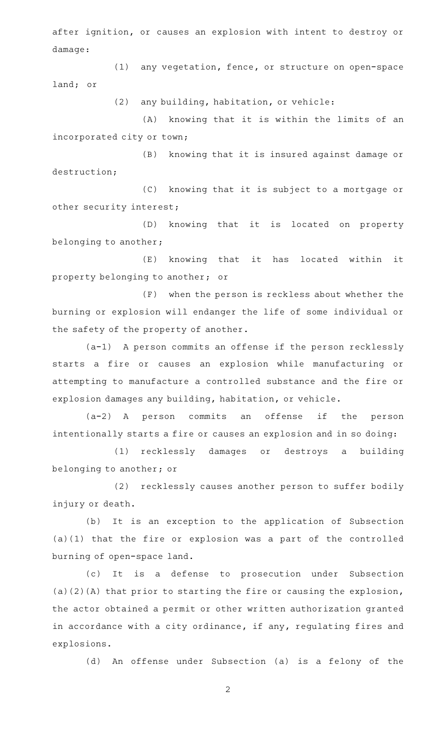after ignition, or causes an explosion with intent to destroy or damage:

(1) any vegetation, fence, or structure on open-space land; or

(2) any building, habitation, or vehicle:

(A) knowing that it is within the limits of an incorporated city or town;

(B) knowing that it is insured against damage or destruction;

(C) knowing that it is subject to a mortgage or other security interest;

(D) knowing that it is located on property belonging to another;

(E) knowing that it has located within it property belonging to another; or

(F) when the person is reckless about whether the burning or explosion will endanger the life of some individual or the safety of the property of another.

(a-1) A person commits an offense if the person recklessly starts a fire or causes an explosion while manufacturing or attempting to manufacture a controlled substance and the fire or explosion damages any building, habitation, or vehicle.

(a-2)AAA person commits an offense if the person intentionally starts a fire or causes an explosion and in so doing:

(1) recklessly damages or destroys a building belonging to another; or

(2) recklessly causes another person to suffer bodily injury or death.

(b) It is an exception to the application of Subsection (a)(1) that the fire or explosion was a part of the controlled burning of open-space land.

(c) It is a defense to prosecution under Subsection (a)(2)(A) that prior to starting the fire or causing the explosion, the actor obtained a permit or other written authorization granted in accordance with a city ordinance, if any, regulating fires and explosions.

(d) An offense under Subsection (a) is a felony of the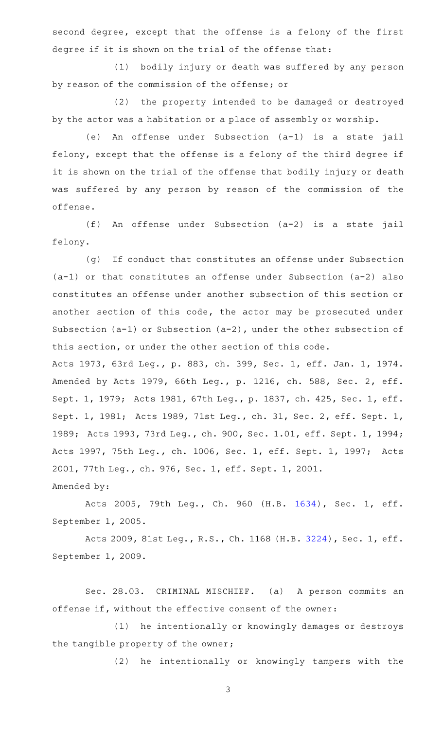second degree, except that the offense is a felony of the first degree if it is shown on the trial of the offense that:

(1) bodily injury or death was suffered by any person by reason of the commission of the offense; or

(2) the property intended to be damaged or destroyed by the actor was a habitation or a place of assembly or worship.

(e) An offense under Subsection (a-1) is a state jail felony, except that the offense is a felony of the third degree if it is shown on the trial of the offense that bodily injury or death was suffered by any person by reason of the commission of the offense.

(f) An offense under Subsection (a-2) is a state jail felony.

(g) If conduct that constitutes an offense under Subsection (a-1) or that constitutes an offense under Subsection (a-2) also constitutes an offense under another subsection of this section or another section of this code, the actor may be prosecuted under Subsection (a-1) or Subsection (a-2), under the other subsection of this section, or under the other section of this code.

Acts 1973, 63rd Leg., p. 883, ch. 399, Sec. 1, eff. Jan. 1, 1974. Amended by Acts 1979, 66th Leg., p. 1216, ch. 588, Sec. 2, eff. Sept. 1, 1979; Acts 1981, 67th Leg., p. 1837, ch. 425, Sec. 1, eff. Sept. 1, 1981; Acts 1989, 71st Leg., ch. 31, Sec. 2, eff. Sept. 1, 1989; Acts 1993, 73rd Leg., ch. 900, Sec. 1.01, eff. Sept. 1, 1994; Acts 1997, 75th Leg., ch. 1006, Sec. 1, eff. Sept. 1, 1997; Acts 2001, 77th Leg., ch. 976, Sec. 1, eff. Sept. 1, 2001. Amended by:

Acts 2005, 79th Leg., Ch. 960 (H.B. [1634](http://www.legis.state.tx.us/tlodocs/79R/billtext/html/HB01634F.HTM)), Sec. 1, eff. September 1, 2005.

Acts 2009, 81st Leg., R.S., Ch. 1168 (H.B. [3224](http://www.legis.state.tx.us/tlodocs/81R/billtext/html/HB03224F.HTM)), Sec. 1, eff. September 1, 2009.

Sec. 28.03. CRIMINAL MISCHIEF. (a) A person commits an offense if, without the effective consent of the owner:

(1) he intentionally or knowingly damages or destroys the tangible property of the owner;

(2) he intentionally or knowingly tampers with the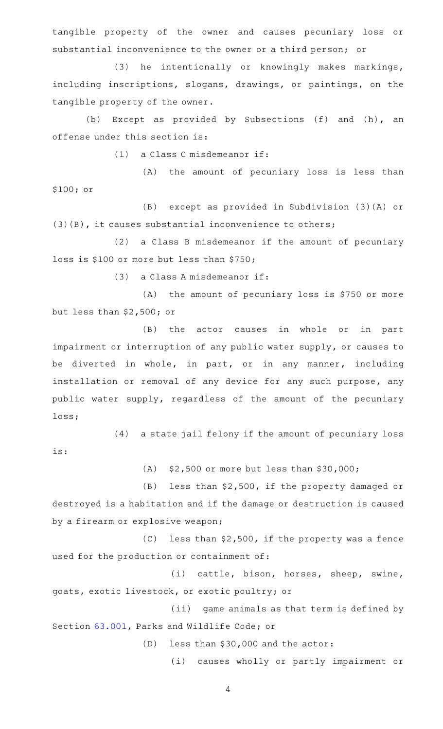tangible property of the owner and causes pecuniary loss or substantial inconvenience to the owner or a third person; or

(3) he intentionally or knowingly makes markings, including inscriptions, slogans, drawings, or paintings, on the tangible property of the owner.

(b) Except as provided by Subsections (f) and (h), an offense under this section is:

 $(1)$  a Class C misdemeanor if:

(A) the amount of pecuniary loss is less than \$100; or

(B) except as provided in Subdivision (3)(A) or (3)(B), it causes substantial inconvenience to others;

(2) a Class B misdemeanor if the amount of pecuniary loss is \$100 or more but less than \$750;

 $(3)$  a Class A misdemeanor if:

is:

 $(A)$  the amount of pecuniary loss is \$750 or more but less than \$2,500; or

(B) the actor causes in whole or in part impairment or interruption of any public water supply, or causes to be diverted in whole, in part, or in any manner, including installation or removal of any device for any such purpose, any public water supply, regardless of the amount of the pecuniary loss;

 $(4)$  a state jail felony if the amount of pecuniary loss

(A)  $$2,500$  or more but less than  $$30,000$ ;

 $(B)$  less than \$2,500, if the property damaged or destroyed is a habitation and if the damage or destruction is caused by a firearm or explosive weapon;

 $(C)$  less than \$2,500, if the property was a fence used for the production or containment of:

(i) cattle, bison, horses, sheep, swine, goats, exotic livestock, or exotic poultry; or

(ii) game animals as that term is defined by Section [63.001](http://www.statutes.legis.state.tx.us/GetStatute.aspx?Code=PW&Value=63.001), Parks and Wildlife Code; or

(D) less than  $$30,000$  and the actor:

(i) causes wholly or partly impairment or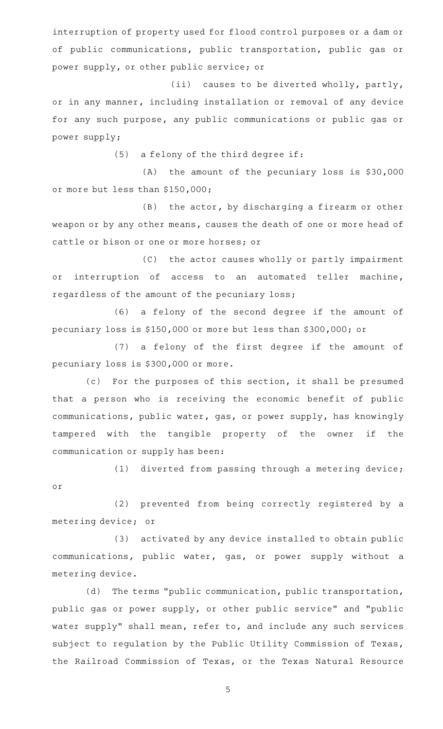interruption of property used for flood control purposes or a dam or of public communications, public transportation, public gas or power supply, or other public service; or

(ii) causes to be diverted wholly, partly, or in any manner, including installation or removal of any device for any such purpose, any public communications or public gas or power supply;

 $(5)$  a felony of the third degree if:

 $(A)$  the amount of the pecuniary loss is \$30,000 or more but less than \$150,000;

 $(B)$  the actor, by discharging a firearm or other weapon or by any other means, causes the death of one or more head of cattle or bison or one or more horses; or

(C) the actor causes wholly or partly impairment or interruption of access to an automated teller machine, regardless of the amount of the pecuniary loss;

(6) a felony of the second degree if the amount of pecuniary loss is \$150,000 or more but less than \$300,000; or

(7) a felony of the first degree if the amount of pecuniary loss is \$300,000 or more.

(c) For the purposes of this section, it shall be presumed that a person who is receiving the economic benefit of public communications, public water, gas, or power supply, has knowingly tampered with the tangible property of the owner if the communication or supply has been:

 $(1)$  diverted from passing through a metering device; or

(2) prevented from being correctly registered by a metering device; or

(3) activated by any device installed to obtain public communications, public water, gas, or power supply without a metering device.

(d) The terms "public communication, public transportation, public gas or power supply, or other public service" and "public water supply" shall mean, refer to, and include any such services subject to regulation by the Public Utility Commission of Texas, the Railroad Commission of Texas, or the Texas Natural Resource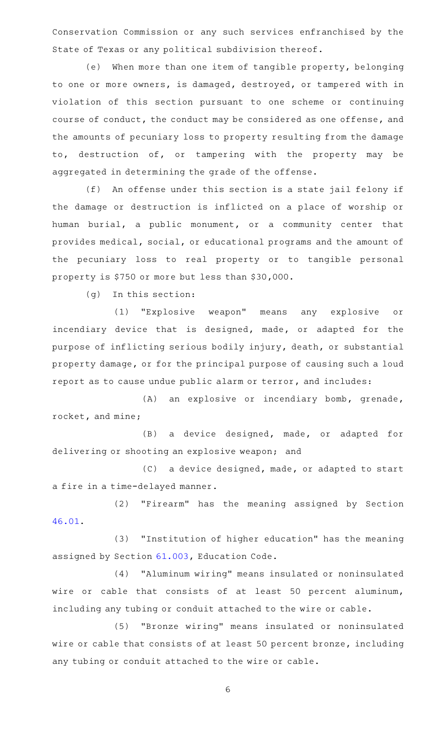Conservation Commission or any such services enfranchised by the State of Texas or any political subdivision thereof.

(e) When more than one item of tangible property, belonging to one or more owners, is damaged, destroyed, or tampered with in violation of this section pursuant to one scheme or continuing course of conduct, the conduct may be considered as one offense, and the amounts of pecuniary loss to property resulting from the damage to, destruction of, or tampering with the property may be aggregated in determining the grade of the offense.

(f) An offense under this section is a state jail felony if the damage or destruction is inflicted on a place of worship or human burial, a public monument, or a community center that provides medical, social, or educational programs and the amount of the pecuniary loss to real property or to tangible personal property is \$750 or more but less than \$30,000.

 $(g)$  In this section:

(1) "Explosive weapon" means any explosive or incendiary device that is designed, made, or adapted for the purpose of inflicting serious bodily injury, death, or substantial property damage, or for the principal purpose of causing such a loud report as to cause undue public alarm or terror, and includes:

(A) an explosive or incendiary bomb, grenade, rocket, and mine;

(B) a device designed, made, or adapted for delivering or shooting an explosive weapon; and

(C) a device designed, made, or adapted to start a fire in a time-delayed manner.

(2) "Firearm" has the meaning assigned by Section [46.01.](http://www.statutes.legis.state.tx.us/GetStatute.aspx?Code=PE&Value=46.01)

(3) "Institution of higher education" has the meaning assigned by Section [61.003,](http://www.statutes.legis.state.tx.us/GetStatute.aspx?Code=ED&Value=61.003) Education Code.

(4) "Aluminum wiring" means insulated or noninsulated wire or cable that consists of at least 50 percent aluminum, including any tubing or conduit attached to the wire or cable.

(5) "Bronze wiring" means insulated or noninsulated wire or cable that consists of at least 50 percent bronze, including any tubing or conduit attached to the wire or cable.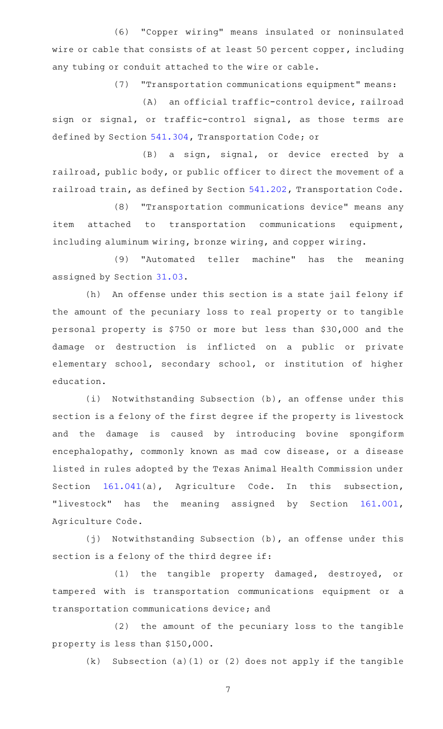(6) "Copper wiring" means insulated or noninsulated wire or cable that consists of at least 50 percent copper, including any tubing or conduit attached to the wire or cable.

(7) "Transportation communications equipment" means:

(A) an official traffic-control device, railroad sign or signal, or traffic-control signal, as those terms are defined by Section [541.304,](http://www.statutes.legis.state.tx.us/GetStatute.aspx?Code=TN&Value=541.304) Transportation Code; or

(B) a sign, signal, or device erected by a railroad, public body, or public officer to direct the movement of a railroad train, as defined by Section [541.202,](http://www.statutes.legis.state.tx.us/GetStatute.aspx?Code=TN&Value=541.202) Transportation Code.

(8) "Transportation communications device" means any item attached to transportation communications equipment, including aluminum wiring, bronze wiring, and copper wiring.

(9) "Automated teller machine" has the meaning assigned by Section [31.03](http://www.statutes.legis.state.tx.us/GetStatute.aspx?Code=PE&Value=31.03).

(h) An offense under this section is a state jail felony if the amount of the pecuniary loss to real property or to tangible personal property is \$750 or more but less than \$30,000 and the damage or destruction is inflicted on a public or private elementary school, secondary school, or institution of higher education.

(i) Notwithstanding Subsection (b), an offense under this section is a felony of the first degree if the property is livestock and the damage is caused by introducing bovine spongiform encephalopathy, commonly known as mad cow disease, or a disease listed in rules adopted by the Texas Animal Health Commission under Section [161.041\(](http://www.statutes.legis.state.tx.us/GetStatute.aspx?Code=AG&Value=161.041)a), Agriculture Code. In this subsection, "livestock" has the meaning assigned by Section [161.001](http://www.statutes.legis.state.tx.us/GetStatute.aspx?Code=AG&Value=161.001), Agriculture Code.

(j) Notwithstanding Subsection (b), an offense under this section is a felony of the third degree if:

(1) the tangible property damaged, destroyed, or tampered with is transportation communications equipment or a transportation communications device; and

(2) the amount of the pecuniary loss to the tangible property is less than \$150,000.

 $(k)$  Subsection (a)(1) or (2) does not apply if the tangible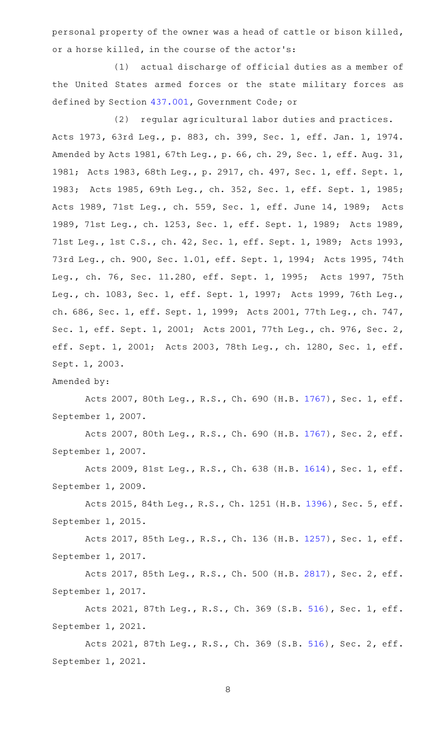personal property of the owner was a head of cattle or bison killed, or a horse killed, in the course of the actor 's:

(1) actual discharge of official duties as a member of the United States armed forces or the state military forces as defined by Section [437.001,](http://www.statutes.legis.state.tx.us/GetStatute.aspx?Code=GV&Value=437.001) Government Code; or

(2) regular agricultural labor duties and practices. Acts 1973, 63rd Leg., p. 883, ch. 399, Sec. 1, eff. Jan. 1, 1974. Amended by Acts 1981, 67th Leg., p. 66, ch. 29, Sec. 1, eff. Aug. 31, 1981; Acts 1983, 68th Leg., p. 2917, ch. 497, Sec. 1, eff. Sept. 1, 1983; Acts 1985, 69th Leg., ch. 352, Sec. 1, eff. Sept. 1, 1985; Acts 1989, 71st Leg., ch. 559, Sec. 1, eff. June 14, 1989; Acts 1989, 71st Leg., ch. 1253, Sec. 1, eff. Sept. 1, 1989; Acts 1989, 71st Leg., 1st C.S., ch. 42, Sec. 1, eff. Sept. 1, 1989; Acts 1993, 73rd Leg., ch. 900, Sec. 1.01, eff. Sept. 1, 1994; Acts 1995, 74th Leg., ch. 76, Sec. 11.280, eff. Sept. 1, 1995; Acts 1997, 75th Leg., ch. 1083, Sec. 1, eff. Sept. 1, 1997; Acts 1999, 76th Leg., ch. 686, Sec. 1, eff. Sept. 1, 1999; Acts 2001, 77th Leg., ch. 747, Sec. 1, eff. Sept. 1, 2001; Acts 2001, 77th Leg., ch. 976, Sec. 2, eff. Sept. 1, 2001; Acts 2003, 78th Leg., ch. 1280, Sec. 1, eff. Sept. 1, 2003.

## Amended by:

Acts 2007, 80th Leg., R.S., Ch. 690 (H.B. [1767](http://www.legis.state.tx.us/tlodocs/80R/billtext/html/HB01767F.HTM)), Sec. 1, eff. September 1, 2007.

Acts 2007, 80th Leg., R.S., Ch. 690 (H.B. [1767](http://www.legis.state.tx.us/tlodocs/80R/billtext/html/HB01767F.HTM)), Sec. 2, eff. September 1, 2007.

Acts 2009, 81st Leg., R.S., Ch. 638 (H.B. [1614](http://www.legis.state.tx.us/tlodocs/81R/billtext/html/HB01614F.HTM)), Sec. 1, eff. September 1, 2009.

Acts 2015, 84th Leg., R.S., Ch. 1251 (H.B. [1396](http://www.legis.state.tx.us/tlodocs/84R/billtext/html/HB01396F.HTM)), Sec. 5, eff. September 1, 2015.

Acts 2017, 85th Leg., R.S., Ch. 136 (H.B. [1257](http://www.legis.state.tx.us/tlodocs/85R/billtext/html/HB01257F.HTM)), Sec. 1, eff. September 1, 2017.

Acts 2017, 85th Leg., R.S., Ch. 500 (H.B. [2817](http://www.legis.state.tx.us/tlodocs/85R/billtext/html/HB02817F.HTM)), Sec. 2, eff. September 1, 2017.

Acts 2021, 87th Leg., R.S., Ch. 369 (S.B. [516](http://www.legis.state.tx.us/tlodocs/87R/billtext/html/SB00516F.HTM)), Sec. 1, eff. September 1, 2021.

Acts 2021, 87th Leg., R.S., Ch. 369 (S.B. [516](http://www.legis.state.tx.us/tlodocs/87R/billtext/html/SB00516F.HTM)), Sec. 2, eff. September 1, 2021.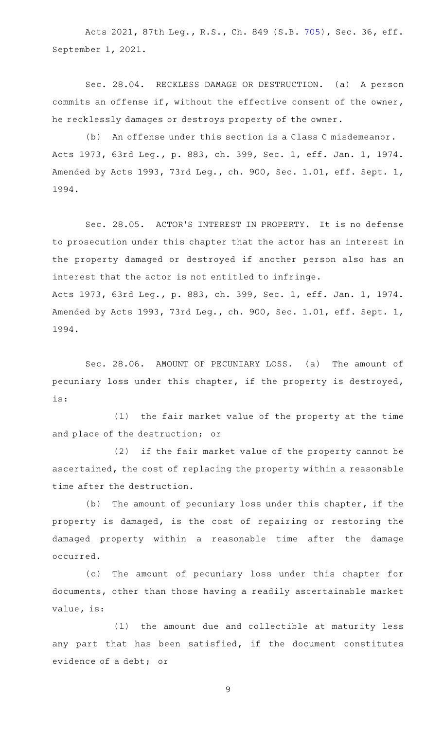Acts 2021, 87th Leg., R.S., Ch. 849 (S.B. [705\)](http://www.legis.state.tx.us/tlodocs/87R/billtext/html/SB00705F.HTM), Sec. 36, eff. September 1, 2021.

Sec. 28.04. RECKLESS DAMAGE OR DESTRUCTION. (a) A person commits an offense if, without the effective consent of the owner, he recklessly damages or destroys property of the owner.

(b) An offense under this section is a Class C misdemeanor. Acts 1973, 63rd Leg., p. 883, ch. 399, Sec. 1, eff. Jan. 1, 1974. Amended by Acts 1993, 73rd Leg., ch. 900, Sec. 1.01, eff. Sept. 1, 1994.

Sec. 28.05. ACTOR'S INTEREST IN PROPERTY. It is no defense to prosecution under this chapter that the actor has an interest in the property damaged or destroyed if another person also has an interest that the actor is not entitled to infringe. Acts 1973, 63rd Leg., p. 883, ch. 399, Sec. 1, eff. Jan. 1, 1974. Amended by Acts 1993, 73rd Leg., ch. 900, Sec. 1.01, eff. Sept. 1, 1994.

Sec. 28.06. AMOUNT OF PECUNIARY LOSS. (a) The amount of pecuniary loss under this chapter, if the property is destroyed, is:

(1) the fair market value of the property at the time and place of the destruction; or

(2) if the fair market value of the property cannot be ascertained, the cost of replacing the property within a reasonable time after the destruction.

(b) The amount of pecuniary loss under this chapter, if the property is damaged, is the cost of repairing or restoring the damaged property within a reasonable time after the damage occurred.

(c) The amount of pecuniary loss under this chapter for documents, other than those having a readily ascertainable market value, is:

(1) the amount due and collectible at maturity less any part that has been satisfied, if the document constitutes evidence of a debt; or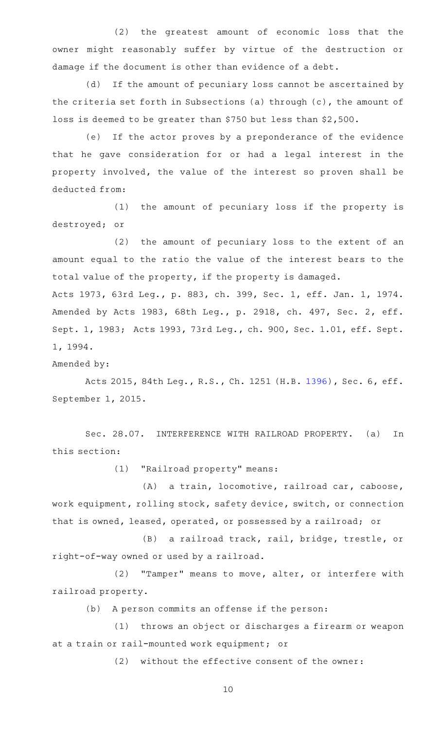(2) the greatest amount of economic loss that the owner might reasonably suffer by virtue of the destruction or damage if the document is other than evidence of a debt.

(d) If the amount of pecuniary loss cannot be ascertained by the criteria set forth in Subsections (a) through (c), the amount of loss is deemed to be greater than \$750 but less than \$2,500.

(e) If the actor proves by a preponderance of the evidence that he gave consideration for or had a legal interest in the property involved, the value of the interest so proven shall be deducted from:

(1) the amount of pecuniary loss if the property is destroyed; or

(2) the amount of pecuniary loss to the extent of an amount equal to the ratio the value of the interest bears to the total value of the property, if the property is damaged.

Acts 1973, 63rd Leg., p. 883, ch. 399, Sec. 1, eff. Jan. 1, 1974. Amended by Acts 1983, 68th Leg., p. 2918, ch. 497, Sec. 2, eff. Sept. 1, 1983; Acts 1993, 73rd Leg., ch. 900, Sec. 1.01, eff. Sept. 1, 1994.

Amended by:

Acts 2015, 84th Leg., R.S., Ch. 1251 (H.B. [1396](http://www.legis.state.tx.us/tlodocs/84R/billtext/html/HB01396F.HTM)), Sec. 6, eff. September 1, 2015.

Sec. 28.07. INTERFERENCE WITH RAILROAD PROPERTY. (a) In this section:

(1) "Railroad property" means:

(A) a train, locomotive, railroad car, caboose, work equipment, rolling stock, safety device, switch, or connection that is owned, leased, operated, or possessed by a railroad; or

(B) a railroad track, rail, bridge, trestle, or right-of-way owned or used by a railroad.

(2) "Tamper" means to move, alter, or interfere with railroad property.

(b) A person commits an offense if the person:

(1) throws an object or discharges a firearm or weapon at a train or rail-mounted work equipment; or

 $(2)$  without the effective consent of the owner: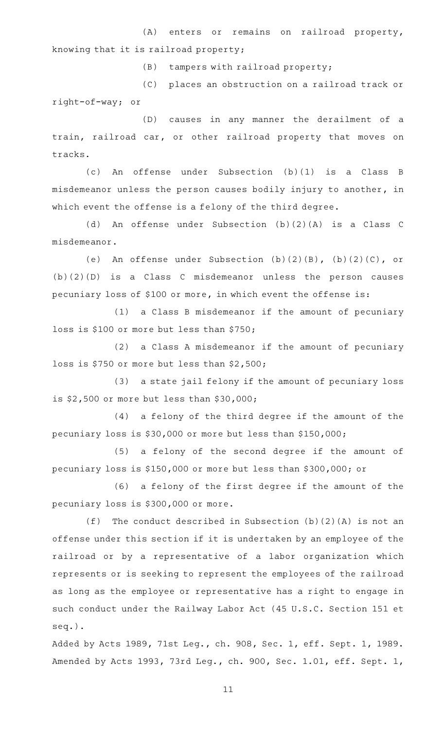(A) enters or remains on railroad property, knowing that it is railroad property;

(B) tampers with railroad property;

(C) places an obstruction on a railroad track or right-of-way; or

(D) causes in any manner the derailment of a train, railroad car, or other railroad property that moves on tracks.

(c)AAAn offense under Subsection (b)(1) is a Class B misdemeanor unless the person causes bodily injury to another, in which event the offense is a felony of the third degree.

(d) An offense under Subsection (b)(2)(A) is a Class C misdemeanor.

(e) An offense under Subsection  $(b)(2)(B)$ ,  $(b)(2)(C)$ , or (b)(2)(D) is a Class C misdemeanor unless the person causes pecuniary loss of \$100 or more, in which event the offense is:

(1) a Class B misdemeanor if the amount of pecuniary loss is \$100 or more but less than \$750;

(2) a Class A misdemeanor if the amount of pecuniary loss is \$750 or more but less than \$2,500;

(3) a state jail felony if the amount of pecuniary loss is \$2,500 or more but less than \$30,000;

(4) a felony of the third degree if the amount of the pecuniary loss is \$30,000 or more but less than \$150,000;

(5) a felony of the second degree if the amount of pecuniary loss is \$150,000 or more but less than \$300,000; or

(6) a felony of the first degree if the amount of the pecuniary loss is \$300,000 or more.

(f) The conduct described in Subsection  $(b)(2)(A)$  is not an offense under this section if it is undertaken by an employee of the railroad or by a representative of a labor organization which represents or is seeking to represent the employees of the railroad as long as the employee or representative has a right to engage in such conduct under the Railway Labor Act (45 U.S.C. Section 151 et seq.).

Added by Acts 1989, 71st Leg., ch. 908, Sec. 1, eff. Sept. 1, 1989. Amended by Acts 1993, 73rd Leg., ch. 900, Sec. 1.01, eff. Sept. 1,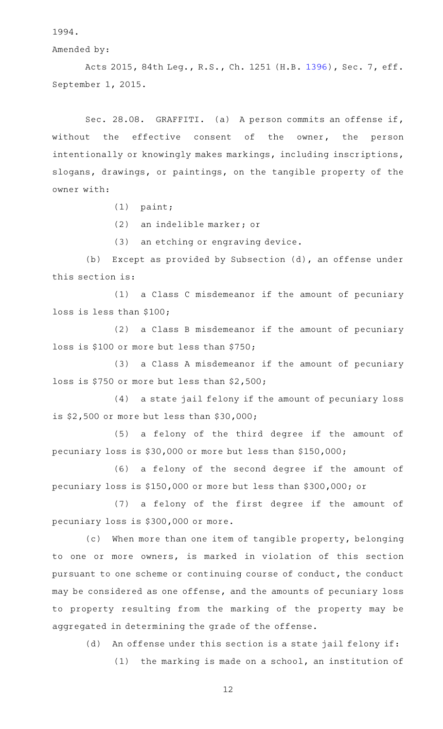1994.

Amended by:

Acts 2015, 84th Leg., R.S., Ch. 1251 (H.B. [1396](http://www.legis.state.tx.us/tlodocs/84R/billtext/html/HB01396F.HTM)), Sec. 7, eff. September 1, 2015.

Sec. 28.08. GRAFFITI. (a) A person commits an offense if, without the effective consent of the owner, the person intentionally or knowingly makes markings, including inscriptions, slogans, drawings, or paintings, on the tangible property of the owner with:

 $(1)$  paint;

(2) an indelible marker; or

(3) an etching or engraving device.

(b) Except as provided by Subsection (d), an offense under this section is:

(1) a Class C misdemeanor if the amount of pecuniary loss is less than \$100;

 $(2)$  a Class B misdemeanor if the amount of pecuniary loss is \$100 or more but less than \$750;

(3) a Class A misdemeanor if the amount of pecuniary loss is \$750 or more but less than \$2,500;

(4) a state jail felony if the amount of pecuniary loss is \$2,500 or more but less than \$30,000;

(5) a felony of the third degree if the amount of pecuniary loss is \$30,000 or more but less than \$150,000;

(6) a felony of the second degree if the amount of pecuniary loss is \$150,000 or more but less than \$300,000; or

(7) a felony of the first degree if the amount of pecuniary loss is \$300,000 or more.

(c) When more than one item of tangible property, belonging to one or more owners, is marked in violation of this section pursuant to one scheme or continuing course of conduct, the conduct may be considered as one offense, and the amounts of pecuniary loss to property resulting from the marking of the property may be aggregated in determining the grade of the offense.

(d) An offense under this section is a state jail felony if:

 $(1)$  the marking is made on a school, an institution of